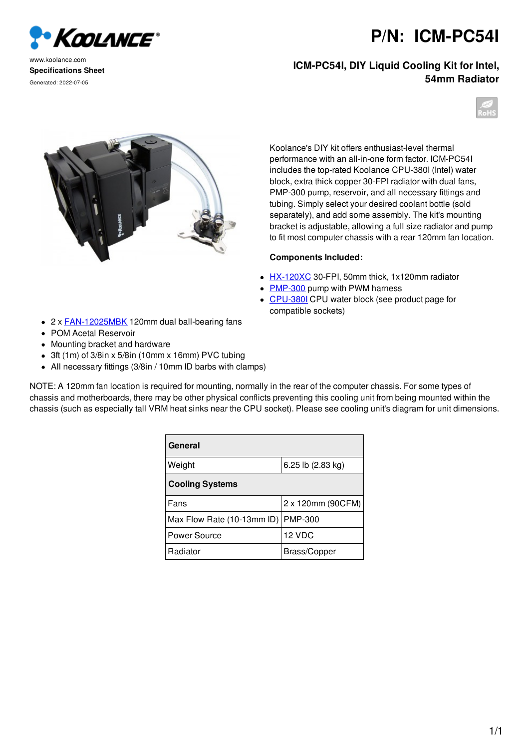Koolance®

www.koolance.com **Specifications Sheet** Generated: 2022-07-05

## **P/N: ICM-PC54I**

## **ICM-PC54I, DIY Liquid Cooling Kit for Intel, 54mm Radiator**





Koolance's DIY kit offers enthusiast-level thermal performance with an all-in-one form factor. ICM-PC54I includes the top-rated Koolance CPU-380I (Intel) water block, extra thick copper 30-FPI radiator with dual fans, PMP-300 pump, reservoir, and all necessary fittings and tubing. Simply select your desired coolant bottle (sold separately), and add some assembly. The kit's mounting bracket is adjustable, allowing a full size radiator and pump to fit most computer chassis with a rear 120mm fan location.

## **Components Included:**

- HX-120XC 30-FPI, 50mm thick, 1x120mm radiator
- PMP-300 pump with PWM harness
- CPU-380I CPU water block (see product page for compatible sockets)
- 2 x **FAN-12025MBK** 120mm dual ball-bearing fans
- POM Acetal Reservoir
- Mounting bracket and hardware
- 3ft (1m) of 3/8in x 5/8in (10mm x 16mm) PVC tubing
- All necessary fittings (3/8in / 10mm ID barbs with clamps)

NOTE: A 120mm fan location is required for mounting, normally in the rear of the computer chassis. For some types of chassis and motherboards, there may be other physical conflicts preventing this cooling unit from being mounted within the chassis (such as especially tall VRM heat sinks near the CPU socket). Please see cooling unit's diagram for unit dimensions.

| General                    |                   |
|----------------------------|-------------------|
| Weight                     | 6.25 lb (2.83 kg) |
| <b>Cooling Systems</b>     |                   |
| Fans                       | 2 x 120mm (90CFM) |
| Max Flow Rate (10-13mm ID) | <b>PMP-300</b>    |
| Power Source               | 12 VDC            |
| Radiator                   | Brass/Copper      |